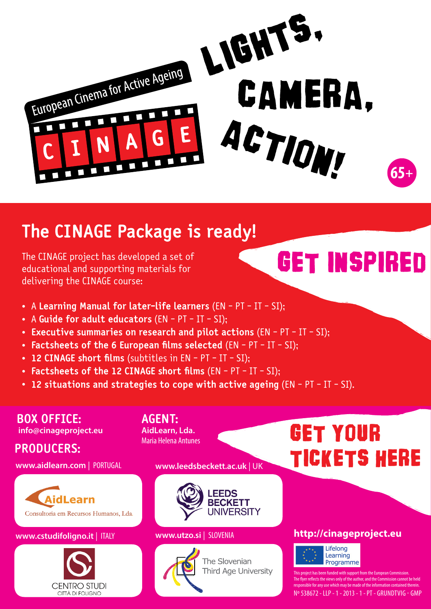

## **The CINAGE Package is ready!**

The CINAGE project has developed a set of educational and supporting materials for delivering the CINAGE course:

## get inspired

- . A **Learning Manual for later-life learners** (EN PT IT SI);
- . A **Guide for adult educators** (EN PT IT SI);
- . **Executive summaries on research and pilot actions** (EN PT IT SI);
- . **Factsheets of the 6 European films selected** (EN PT IT SI);
- . **12 CINAGE short films** (subtitles in EN PT IT SI);
- . **Factsheets of the 12 CINAGE short films** (EN PT IT SI);
- . **12 situations and strategies to cope with active ageing** (EN PT IT SI).

**BOX OFFICE: info@cinageproject.eu**

**PRODUCERS:**



#### **<www.cstudifoligno.it>** | ITALY **[www.utzo.si](www.univerza3.si)** | SLOVENIA



#### **AGENT: AidLearn, Lda.** Maria Helena Antunes

**<www.aidlearn.com>** | PORTUGAL **<www.leedsbeckett.ac.uk>**| UK





The Slovenian Third Age University

## GET YOUR TICKETS HERE

### **<http://cinageproject.eu>**



ect has been funded with support from the European Commission ects the views only of the author, and the Comi Ie for any use which may be made of the information contai Nº 538672 - LLP - 1 - 2013 - 1 - PT - GRUNDTVIG - GMP